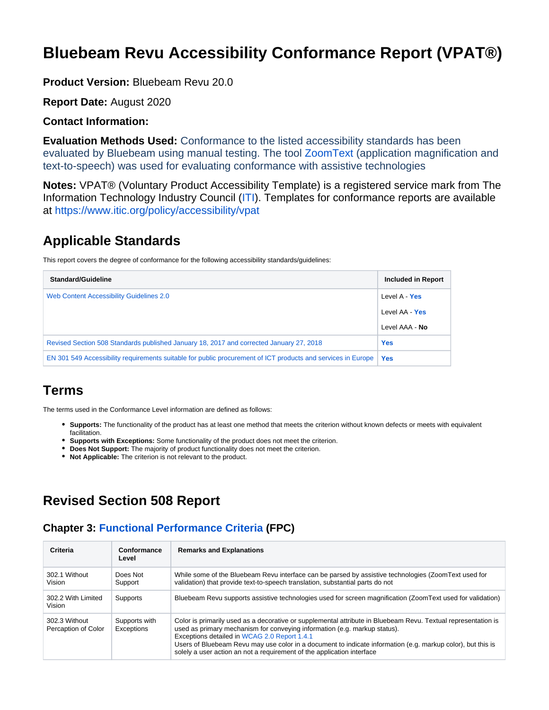# **Bluebeam Revu Accessibility Conformance Report (VPAT®)**

**Product Version:** Bluebeam Revu 20.0

**Report Date:** August 2020

#### **Contact Information:**

**Evaluation Methods Used:** Conformance to the listed accessibility standards has been evaluated by Bluebeam using manual testing. The tool [ZoomText](https://www.zoomtext.com/) (application magnification and text-to-speech) was used for evaluating conformance with assistive technologies

**Notes:** VPAT® (Voluntary Product Accessibility Template) is a registered service mark from The Information Technology Industry Council [\(ITI](https://www.itic.org/)). Templates for conformance reports are available at<https://www.itic.org/policy/accessibility/vpat>

## **Applicable Standards**

This report covers the degree of conformance for the following accessibility standards/guidelines:

| <b>Standard/Guideline</b>                                                                                    | Included in Report |
|--------------------------------------------------------------------------------------------------------------|--------------------|
| Web Content Accessibility Guidelines 2.0                                                                     | Level A - Yes      |
|                                                                                                              | Level AA - Yes     |
|                                                                                                              | Level AAA - No     |
| Revised Section 508 Standards published January 18, 2017 and corrected January 27, 2018                      | <b>Yes</b>         |
| EN 301 549 Accessibility requirements suitable for public procurement of ICT products and services in Europe | <b>Yes</b>         |

## **Terms**

The terms used in the Conformance Level information are defined as follows:

- **Supports:** The functionality of the product has at least one method that meets the criterion without known defects or meets with equivalent facilitation.
- **Supports with Exceptions:** Some functionality of the product does not meet the criterion.
- **Does Not Support:** The majority of product functionality does not meet the criterion.
- **Not Applicable:** The criterion is not relevant to the product.

## **Revised Section 508 Report**

### **Chapter 3: [Functional Performance Criteria](https://www.access-board.gov/guidelines-and-standards/communications-and-it/about-the-ict-refresh/final-rule/text-of-the-standards-and-guidelines#302-functional-performance-criteria) (FPC)**

| Criteria                             | Conformance<br>Level        | <b>Remarks and Explanations</b>                                                                                                                                                                                                                                                                                                                                                                                                     |
|--------------------------------------|-----------------------------|-------------------------------------------------------------------------------------------------------------------------------------------------------------------------------------------------------------------------------------------------------------------------------------------------------------------------------------------------------------------------------------------------------------------------------------|
| 302.1 Without<br>Vision              | Does Not<br>Support         | While some of the Bluebeam Revu interface can be parsed by assistive technologies (ZoomText used for<br>validation) that provide text-to-speech translation, substantial parts do not                                                                                                                                                                                                                                               |
| 302.2 With Limited<br>Vision         | Supports                    | Bluebeam Revu supports assistive technologies used for screen magnification (ZoomText used for validation)                                                                                                                                                                                                                                                                                                                          |
| 302.3 Without<br>Percaption of Color | Supports with<br>Exceptions | Color is primarily used as a decorative or supplemental attribute in Bluebeam Revu. Textual representation is<br>used as primary mechanism for conveying information (e.g. markup status).<br>Exceptions detailed in WCAG 2.0 Report 1.4.1<br>Users of Bluebeam Revu may use color in a document to indicate information (e.g. markup color), but this is<br>solely a user action an not a requirement of the application interface |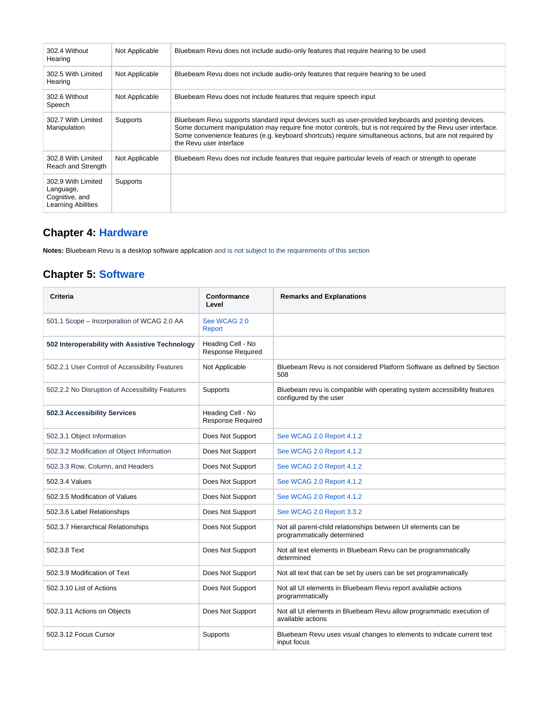| 302.4 Without<br>Hearing                                                | Not Applicable | Bluebeam Revu does not include audio-only features that require hearing to be used                                                                                                                                                                                                                                                                         |
|-------------------------------------------------------------------------|----------------|------------------------------------------------------------------------------------------------------------------------------------------------------------------------------------------------------------------------------------------------------------------------------------------------------------------------------------------------------------|
| 302.5 With Limited<br>Hearing                                           | Not Applicable | Bluebeam Revu does not include audio-only features that require hearing to be used                                                                                                                                                                                                                                                                         |
| 302.6 Without<br>Speech                                                 | Not Applicable | Bluebeam Revu does not include features that require speech input                                                                                                                                                                                                                                                                                          |
| 302.7 With Limited<br>Manipulation                                      | Supports       | Bluebeam Revu supports standard input devices such as user-provided keyboards and pointing devices.<br>Some document manipulation may require fine motor controls, but is not required by the Revu user interface.<br>Some convenience features (e.g. keyboard shortcuts) require simultaneous actions, but are not required by<br>the Revu user interface |
| 302.8 With Limited<br>Reach and Strength                                | Not Applicable | Bluebeam Revu does not include features that require particular levels of reach or strength to operate                                                                                                                                                                                                                                                     |
| 302.9 With Limited<br>Language,<br>Cognitive, and<br>Learning Abilities | Supports       |                                                                                                                                                                                                                                                                                                                                                            |

# **Chapter 4: [Hardware](https://www.access-board.gov/guidelines-and-standards/communications-and-it/about-the-ict-refresh/final-rule/text-of-the-standards-and-guidelines#401-general)**

**Notes:** Bluebeam Revu is a desktop software application and is not subject to the requirements of this section

## **Chapter 5: [Software](https://www.access-board.gov/guidelines-and-standards/communications-and-it/about-the-ict-refresh/final-rule/text-of-the-standards-and-guidelines#501-general)**

| Criteria                                        | Conformance<br>Level                          | <b>Remarks and Explanations</b>                                                                    |
|-------------------------------------------------|-----------------------------------------------|----------------------------------------------------------------------------------------------------|
| 501.1 Scope - Incorporation of WCAG 2.0 AA      | See WCAG 2.0<br>Report                        |                                                                                                    |
| 502 Interoperability with Assistive Technology  | Heading Cell - No<br><b>Response Required</b> |                                                                                                    |
| 502.2.1 User Control of Accessibility Features  | Not Applicable                                | Bluebeam Revu is not considered Platform Software as defined by Section<br>508                     |
| 502.2.2 No Disruption of Accessibility Features | Supports                                      | Bluebeam revu is compatible with operating system accessibility features<br>configured by the user |
| 502.3 Accessibility Services                    | Heading Cell - No<br><b>Response Required</b> |                                                                                                    |
| 502.3.1 Object Information                      | Does Not Support                              | See WCAG 2.0 Report 4.1.2                                                                          |
| 502.3.2 Modification of Object Information      | Does Not Support                              | See WCAG 2.0 Report 4.1.2                                                                          |
| 502.3.3 Row, Column, and Headers                | Does Not Support                              | See WCAG 2.0 Report 4.1.2                                                                          |
| 502.3.4 Values                                  | Does Not Support                              | See WCAG 2.0 Report 4.1.2                                                                          |
| 502.3.5 Modification of Values                  | Does Not Support                              | See WCAG 2.0 Report 4.1.2                                                                          |
| 502.3.6 Label Relationships                     | Does Not Support                              | See WCAG 2.0 Report 3.3.2                                                                          |
| 502.3.7 Hierarchical Relationships              | Does Not Support                              | Not all parent-child relationships between UI elements can be<br>programmatically determined       |
| 502.3.8 Text                                    | Does Not Support                              | Not all text elements in Bluebeam Revu can be programmatically<br>determined                       |
| 502.3.9 Modification of Text                    | Does Not Support                              | Not all text that can be set by users can be set programmatically                                  |
| 502.3.10 List of Actions                        | Does Not Support                              | Not all UI elements in Bluebeam Revu report available actions<br>programmatically                  |
| 502.3.11 Actions on Objects                     | Does Not Support                              | Not all UI elements in Bluebeam Revu allow programmatic execution of<br>available actions          |
| 502.3.12 Focus Cursor                           | Supports                                      | Bluebeam Revu uses visual changes to elements to indicate current text<br>input focus              |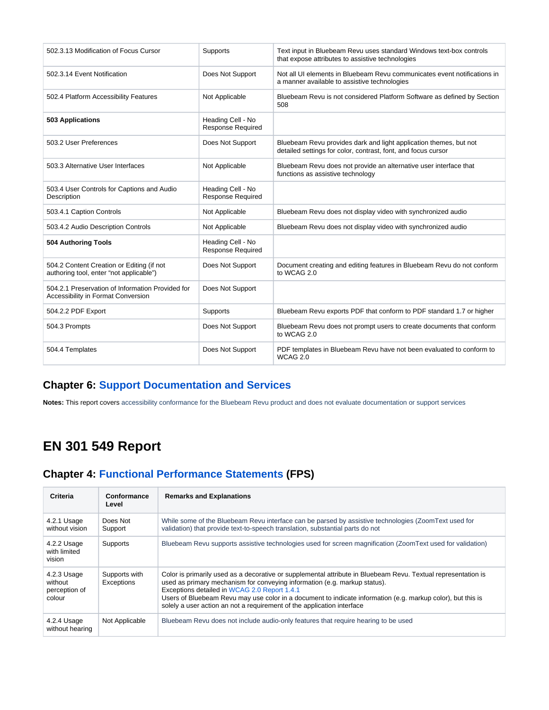| 502.3.13 Modification of Focus Cursor                                                  | Supports                                      | Text input in Bluebeam Revu uses standard Windows text-box controls<br>that expose attributes to assistive technologies            |
|----------------------------------------------------------------------------------------|-----------------------------------------------|------------------------------------------------------------------------------------------------------------------------------------|
| 502.3.14 Event Notification                                                            | Does Not Support                              | Not all UI elements in Bluebeam Revu communicates event notifications in<br>a manner available to assistive technologies           |
| 502.4 Platform Accessibility Features                                                  | Not Applicable                                | Bluebeam Revu is not considered Platform Software as defined by Section<br>508                                                     |
| 503 Applications                                                                       | Heading Cell - No<br><b>Response Required</b> |                                                                                                                                    |
| 503.2 User Preferences                                                                 | Does Not Support                              | Bluebeam Revu provides dark and light application themes, but not<br>detailed settings for color, contrast, font, and focus cursor |
| 503.3 Alternative User Interfaces                                                      | Not Applicable                                | Bluebeam Revu does not provide an alternative user interface that<br>functions as assistive technology                             |
| 503.4 User Controls for Captions and Audio<br>Description                              | Heading Cell - No<br><b>Response Required</b> |                                                                                                                                    |
| 503.4.1 Caption Controls                                                               | Not Applicable                                | Bluebeam Revu does not display video with synchronized audio                                                                       |
| 503.4.2 Audio Description Controls                                                     | Not Applicable                                | Bluebeam Revu does not display video with synchronized audio                                                                       |
| 504 Authoring Tools                                                                    | Heading Cell - No<br><b>Response Required</b> |                                                                                                                                    |
| 504.2 Content Creation or Editing (if not<br>authoring tool, enter "not applicable")   | Does Not Support                              | Document creating and editing features in Bluebeam Revu do not conform<br>to WCAG 2.0                                              |
| 504.2.1 Preservation of Information Provided for<br>Accessibility in Format Conversion | Does Not Support                              |                                                                                                                                    |
| 504.2.2 PDF Export                                                                     | Supports                                      | Bluebeam Revu exports PDF that conform to PDF standard 1.7 or higher                                                               |
| 504.3 Prompts                                                                          | Does Not Support                              | Bluebeam Revu does not prompt users to create documents that conform<br>to WCAG 2.0                                                |
| 504.4 Templates                                                                        | Does Not Support                              | PDF templates in Bluebeam Revu have not been evaluated to conform to<br><b>WCAG 2.0</b>                                            |

### **Chapter 6: [Support Documentation and Services](https://www.access-board.gov/guidelines-and-standards/communications-and-it/about-the-ict-refresh/final-rule/text-of-the-standards-and-guidelines#601-general)**

**Notes:** This report covers accessibility conformance for the Bluebeam Revu product and does not evaluate documentation or support services

# **EN 301 549 Report**

## **Chapter 4: [Functional Performance Statements](http://www.etsi.org/deliver/etsi_en/301500_301599/301549/01.01.02_60/en_301549v010102p.pdf#page=22) (FPS)**

| <b>Criteria</b>                                   | Conformance<br>Level        | <b>Remarks and Explanations</b>                                                                                                                                                                                                                                                                                                                                                                                                     |
|---------------------------------------------------|-----------------------------|-------------------------------------------------------------------------------------------------------------------------------------------------------------------------------------------------------------------------------------------------------------------------------------------------------------------------------------------------------------------------------------------------------------------------------------|
| 4.2.1 Usage<br>without vision                     | Does Not<br>Support         | While some of the Bluebeam Revu interface can be parsed by assistive technologies (ZoomText used for<br>validation) that provide text-to-speech translation, substantial parts do not                                                                                                                                                                                                                                               |
| 4.2.2 Usage<br>with limited<br>vision             | Supports                    | Bluebeam Revu supports assistive technologies used for screen magnification (ZoomText used for validation)                                                                                                                                                                                                                                                                                                                          |
| 4.2.3 Usage<br>without<br>perception of<br>colour | Supports with<br>Exceptions | Color is primarily used as a decorative or supplemental attribute in Bluebeam Revu. Textual representation is<br>used as primary mechanism for conveying information (e.g. markup status).<br>Exceptions detailed in WCAG 2.0 Report 1.4.1<br>Users of Bluebeam Revu may use color in a document to indicate information (e.g. markup color), but this is<br>solely a user action an not a requirement of the application interface |
| 4.2.4 Usage<br>without hearing                    | Not Applicable              | Bluebeam Revu does not include audio-only features that require hearing to be used                                                                                                                                                                                                                                                                                                                                                  |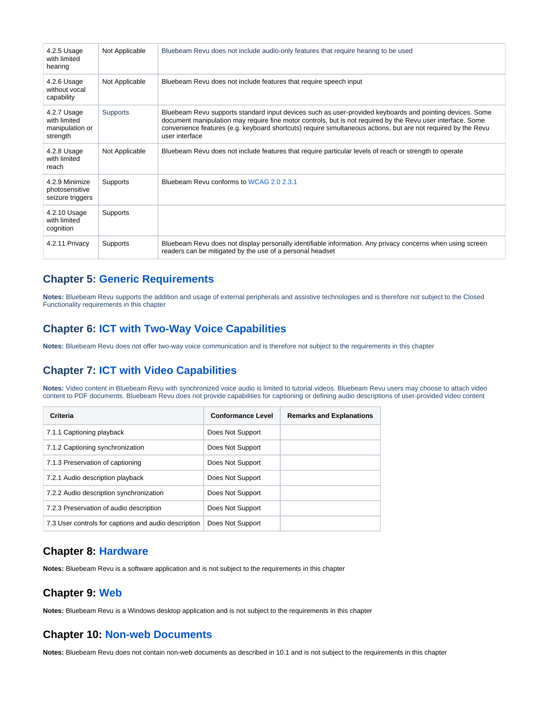| 4.2.5 Usage<br>with limited<br>hearing                     | Not Applicable | Bluebeam Revu does not include audio-only features that require hearing to be used                                                                                                                                                                                                                                                                         |
|------------------------------------------------------------|----------------|------------------------------------------------------------------------------------------------------------------------------------------------------------------------------------------------------------------------------------------------------------------------------------------------------------------------------------------------------------|
| 4.2.6 Usage<br>without vocal<br>capability                 | Not Applicable | Bluebeam Revu does not include features that require speech input                                                                                                                                                                                                                                                                                          |
| 4.2.7 Usage<br>with limited<br>manipulation or<br>strength | Supports       | Bluebeam Revu supports standard input devices such as user-provided keyboards and pointing devices. Some<br>document manipulation may require fine motor controls, but is not required by the Revu user interface. Some<br>convenience features (e.g. keyboard shortcuts) require simultaneous actions, but are not required by the Revu<br>user interface |
| 4.2.8 Usage<br>with limited<br>reach                       | Not Applicable | Bluebeam Revu does not include features that require particular levels of reach or strength to operate                                                                                                                                                                                                                                                     |
| 4.2.9 Minimize<br>photosensitive<br>seizure triggers       | Supports       | Bluebeam Revu conforms to WCAG 2.0 2.3.1                                                                                                                                                                                                                                                                                                                   |
| 4.2.10 Usage<br>with limited<br>cognition                  | Supports       |                                                                                                                                                                                                                                                                                                                                                            |
| 4.2.11 Privacy                                             | Supports       | Bluebeam Revu does not display personally identifiable information. Any privacy concerns when using screen<br>readers can be mitigated by the use of a personal headset                                                                                                                                                                                    |

#### **Chapter 5: [Generic Requirements](http://www.etsi.org/deliver/etsi_en/301500_301599/301549/01.01.02_60/en_301549v010102p.pdf#page=23)**

**Notes:** Bluebeam Revu supports the addition and usage of external peripherals and assistive technologies and is therefore not subject to the Closed Functionality requirements in this chapter

#### **Chapter 6: [ICT with Two-Way Voice Capabilities](http://www.etsi.org/deliver/etsi_en/301500_301599/301549/01.01.02_60/en_301549v010102p.pdf#page=28)**

**Notes:** Bluebeam Revu does not offer two-way voice communication and is therefore not subject to the requirements in this chapter

#### **Chapter 7: [ICT with Video Capabilities](http://www.etsi.org/deliver/etsi_en/301500_301599/301549/01.01.02_60/en_301549v010102p.pdf#page=31)**

**Notes:** Video content in Bluebeam Revu with synchronized voice audio is limited to tutorial videos. Bluebeam Revu users may choose to attach video content to PDF documents. Bluebeam Revu does not provide capabilities for captioning or defining audio descriptions of user-provided video content

| Criteria                                             | <b>Conformance Level</b> | <b>Remarks and Explanations</b> |
|------------------------------------------------------|--------------------------|---------------------------------|
| 7.1.1 Captioning playback                            | Does Not Support         |                                 |
| 7.1.2 Captioning synchronization                     | Does Not Support         |                                 |
| 7.1.3 Preservation of captioning                     | Does Not Support         |                                 |
| 7.2.1 Audio description playback                     | Does Not Support         |                                 |
| 7.2.2 Audio description synchronization              | Does Not Support         |                                 |
| 7.2.3 Preservation of audio description              | Does Not Support         |                                 |
| 7.3 User controls for captions and audio description | Does Not Support         |                                 |

#### **Chapter 8: [Hardware](http://www.etsi.org/deliver/etsi_en/301500_301599/301549/01.01.02_60/en_301549v010102p.pdf#page=32)**

**Notes:** Bluebeam Revu is a software application and is not subject to the requirements in this chapter

#### **Chapter 9: [Web](http://www.etsi.org/deliver/etsi_en/301500_301599/301549/01.01.02_60/en_301549v010102p.pdf#page=39)**

**Notes:** Bluebeam Revu is a Windows desktop application and is not subject to the requirements in this chapter

#### **Chapter 10: [Non-web Documents](http://www.etsi.org/deliver/etsi_en/301500_301599/301549/01.01.02_60/en_301549v010102p.pdf#page=43)**

**Notes:** Bluebeam Revu does not contain non-web documents as described in 10.1 and is not subject to the requirements in this chapter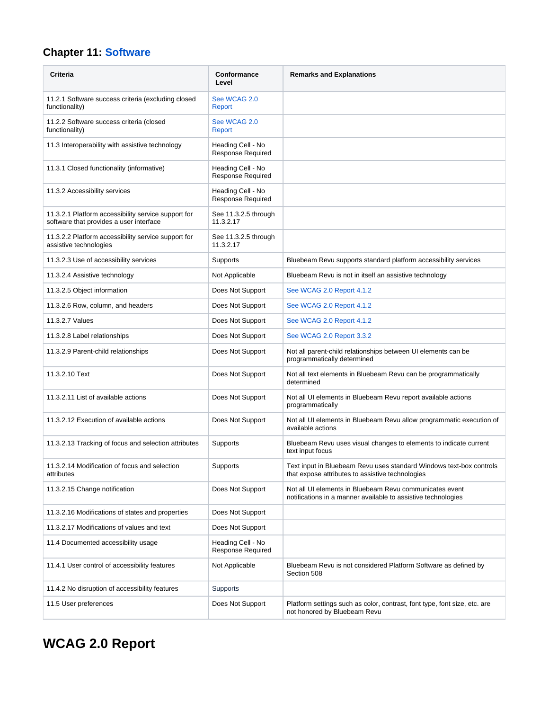# **Chapter 11: [Software](http://www.etsi.org/deliver/etsi_en/301500_301599/301549/01.01.02_60/en_301549v010102p.pdf#page=53)**

| <b>Criteria</b>                                                                                | Conformance<br>Level                          | <b>Remarks and Explanations</b>                                                                                          |
|------------------------------------------------------------------------------------------------|-----------------------------------------------|--------------------------------------------------------------------------------------------------------------------------|
| 11.2.1 Software success criteria (excluding closed<br>functionality)                           | See WCAG 2.0<br>Report                        |                                                                                                                          |
| 11.2.2 Software success criteria (closed<br>functionality)                                     | See WCAG 2.0<br>Report                        |                                                                                                                          |
| 11.3 Interoperability with assistive technology                                                | Heading Cell - No<br>Response Required        |                                                                                                                          |
| 11.3.1 Closed functionality (informative)                                                      | Heading Cell - No<br><b>Response Required</b> |                                                                                                                          |
| 11.3.2 Accessibility services                                                                  | Heading Cell - No<br>Response Required        |                                                                                                                          |
| 11.3.2.1 Platform accessibility service support for<br>software that provides a user interface | See 11.3.2.5 through<br>11.3.2.17             |                                                                                                                          |
| 11.3.2.2 Platform accessibility service support for<br>assistive technologies                  | See 11.3.2.5 through<br>11.3.2.17             |                                                                                                                          |
| 11.3.2.3 Use of accessibility services                                                         | Supports                                      | Bluebeam Revu supports standard platform accessibility services                                                          |
| 11.3.2.4 Assistive technology                                                                  | Not Applicable                                | Bluebeam Revu is not in itself an assistive technology                                                                   |
| 11.3.2.5 Object information                                                                    | Does Not Support                              | See WCAG 2.0 Report 4.1.2                                                                                                |
| 11.3.2.6 Row, column, and headers                                                              | Does Not Support                              | See WCAG 2.0 Report 4.1.2                                                                                                |
| 11.3.2.7 Values                                                                                | Does Not Support                              | See WCAG 2.0 Report 4.1.2                                                                                                |
| 11.3.2.8 Label relationships                                                                   | Does Not Support                              | See WCAG 2.0 Report 3.3.2                                                                                                |
| 11.3.2.9 Parent-child relationships                                                            | Does Not Support                              | Not all parent-child relationships between UI elements can be<br>programmatically determined                             |
| 11.3.2.10 Text                                                                                 | Does Not Support                              | Not all text elements in Bluebeam Revu can be programmatically<br>determined                                             |
| 11.3.2.11 List of available actions                                                            | Does Not Support                              | Not all UI elements in Bluebeam Revu report available actions<br>programmatically                                        |
| 11.3.2.12 Execution of available actions                                                       | Does Not Support                              | Not all UI elements in Bluebeam Revu allow programmatic execution of<br>available actions                                |
| 11.3.2.13 Tracking of focus and selection attributes                                           | Supports                                      | Bluebeam Revu uses visual changes to elements to indicate current<br>text input focus                                    |
| 11.3.2.14 Modification of focus and selection<br>attributes                                    | Supports                                      | Text input in Bluebeam Revu uses standard Windows text-box controls<br>that expose attributes to assistive technologies  |
| 11.3.2.15 Change notification                                                                  | Does Not Support                              | Not all UI elements in Bluebeam Revu communicates event<br>notifications in a manner available to assistive technologies |
| 11.3.2.16 Modifications of states and properties                                               | Does Not Support                              |                                                                                                                          |
| 11.3.2.17 Modifications of values and text                                                     | Does Not Support                              |                                                                                                                          |
| 11.4 Documented accessibility usage                                                            | Heading Cell - No<br><b>Response Required</b> |                                                                                                                          |
| 11.4.1 User control of accessibility features                                                  | Not Applicable                                | Bluebeam Revu is not considered Platform Software as defined by<br>Section 508                                           |
| 11.4.2 No disruption of accessibility features                                                 | Supports                                      |                                                                                                                          |
| 11.5 User preferences                                                                          | Does Not Support                              | Platform settings such as color, contrast, font type, font size, etc. are<br>not honored by Bluebeam Revu                |

# **WCAG 2.0 Report**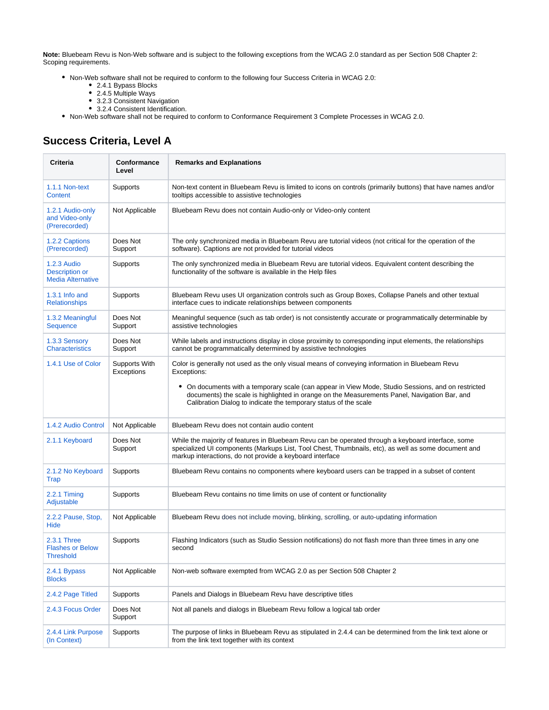**Note:** Bluebeam Revu is Non-Web software and is subject to the following exceptions from the WCAG 2.0 standard as per Section 508 Chapter 2: Scoping requirements.

- Non-Web software shall not be required to conform to the following four Success Criteria in WCAG 2.0:
	- 2.4.1 Bypass Blocks
	- 2.4.5 Multiple Ways
	- 3.2.3 Consistent Navigation
	- 3.2.4 Consistent Identification.
- Non-Web software shall not be required to conform to Conformance Requirement 3 Complete Processes in WCAG 2.0.

## **Success Criteria, Level A**

| <b>Criteria</b>                                                         | Conformance<br>Level        | <b>Remarks and Explanations</b>                                                                                                                                                                                                                                           |
|-------------------------------------------------------------------------|-----------------------------|---------------------------------------------------------------------------------------------------------------------------------------------------------------------------------------------------------------------------------------------------------------------------|
| 1.1.1 Non-text<br>Content                                               | Supports                    | Non-text content in Bluebeam Revu is limited to icons on controls (primarily buttons) that have names and/or<br>tooltips accessible to assistive technologies                                                                                                             |
| 1.2.1 Audio-only<br>and Video-only<br>(Prerecorded)                     | Not Applicable              | Bluebeam Revu does not contain Audio-only or Video-only content                                                                                                                                                                                                           |
| 1.2.2 Captions<br>(Prerecorded)                                         | Does Not<br>Support         | The only synchronized media in Bluebeam Revu are tutorial videos (not critical for the operation of the<br>software). Captions are not provided for tutorial videos                                                                                                       |
| <b>1.2.3 Audio</b><br><b>Description or</b><br><b>Media Alternative</b> | Supports                    | The only synchronized media in Bluebeam Revu are tutorial videos. Equivalent content describing the<br>functionality of the software is available in the Help files                                                                                                       |
| 1.3.1 Info and<br><b>Relationships</b>                                  | Supports                    | Bluebeam Revu uses UI organization controls such as Group Boxes, Collapse Panels and other textual<br>interface cues to indicate relationships between components                                                                                                         |
| 1.3.2 Meaningful<br>Sequence                                            | Does Not<br>Support         | Meaningful sequence (such as tab order) is not consistently accurate or programmatically determinable by<br>assistive technologies                                                                                                                                        |
| 1.3.3 Sensory<br><b>Characteristics</b>                                 | Does Not<br>Support         | While labels and instructions display in close proximity to corresponding input elements, the relationships<br>cannot be programmatically determined by assistive technologies                                                                                            |
| 1.4.1 Use of Color                                                      | Supports With<br>Exceptions | Color is generally not used as the only visual means of conveying information in Bluebeam Revu<br>Exceptions:                                                                                                                                                             |
|                                                                         |                             | On documents with a temporary scale (can appear in View Mode, Studio Sessions, and on restricted<br>٠<br>documents) the scale is highlighted in orange on the Measurements Panel, Navigation Bar, and<br>Calibration Dialog to indicate the temporary status of the scale |
| 1.4.2 Audio Control                                                     | Not Applicable              | Bluebeam Revu does not contain audio content                                                                                                                                                                                                                              |
| 2.1.1 Keyboard                                                          | Does Not<br>Support         | While the majority of features in Bluebeam Revu can be operated through a keyboard interface, some<br>specialized UI components (Markups List, Tool Chest, Thumbnails, etc), as well as some document and<br>markup interactions, do not provide a keyboard interface     |
| 2.1.2 No Keyboard<br>Trap                                               | Supports                    | Bluebeam Revu contains no components where keyboard users can be trapped in a subset of content                                                                                                                                                                           |
| $2.2.1$ Timing<br>Adjustable                                            | Supports                    | Bluebeam Revu contains no time limits on use of content or functionality                                                                                                                                                                                                  |
| 2.2.2 Pause, Stop,<br>Hide                                              | Not Applicable              | Bluebeam Revu does not include moving, blinking, scrolling, or auto-updating information                                                                                                                                                                                  |
| 2.3.1 Three<br><b>Flashes or Below</b><br>Threshold                     | Supports                    | Flashing Indicators (such as Studio Session notifications) do not flash more than three times in any one<br>second                                                                                                                                                        |
| 2.4.1 Bypass<br><b>Blocks</b>                                           | Not Applicable              | Non-web software exempted from WCAG 2.0 as per Section 508 Chapter 2                                                                                                                                                                                                      |
| 2.4.2 Page Titled                                                       | Supports                    | Panels and Dialogs in Bluebeam Revu have descriptive titles                                                                                                                                                                                                               |
| 2.4.3 Focus Order                                                       | Does Not<br>Support         | Not all panels and dialogs in Bluebeam Revu follow a logical tab order                                                                                                                                                                                                    |
| 2.4.4 Link Purpose<br>(In Context)                                      | Supports                    | The purpose of links in Bluebeam Revu as stipulated in 2.4.4 can be determined from the link text alone or<br>from the link text together with its context                                                                                                                |